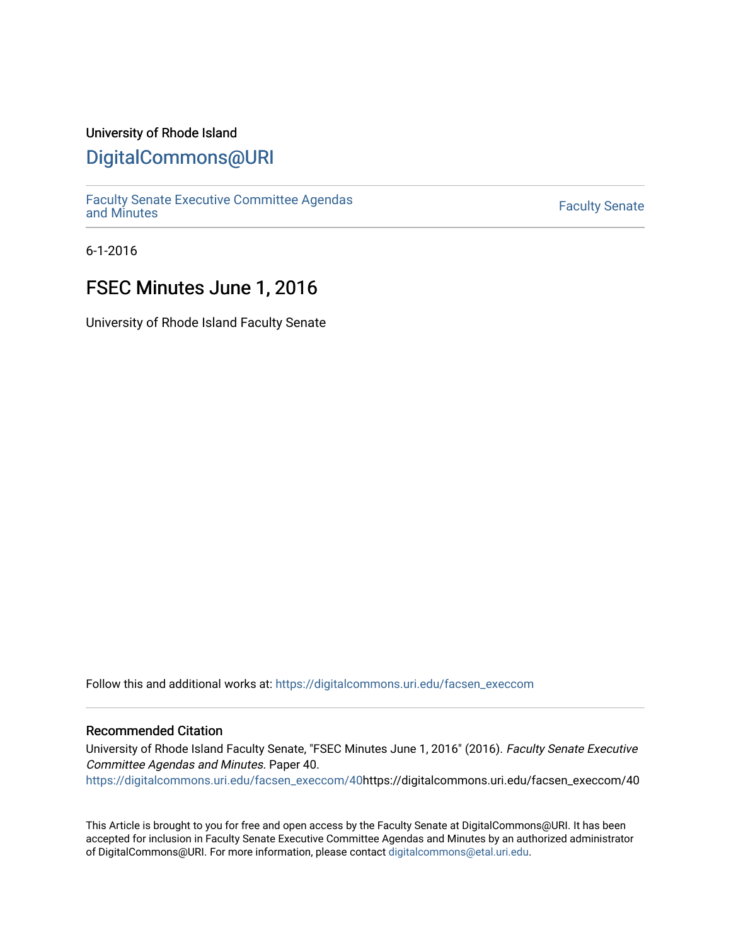## University of Rhode Island

## [DigitalCommons@URI](https://digitalcommons.uri.edu/)

[Faculty Senate Executive Committee Agendas](https://digitalcommons.uri.edu/facsen_execcom)  [and Minutes](https://digitalcommons.uri.edu/facsen_execcom) [Faculty Senate](https://digitalcommons.uri.edu/facsen) 

6-1-2016

# FSEC Minutes June 1, 2016

University of Rhode Island Faculty Senate

Follow this and additional works at: [https://digitalcommons.uri.edu/facsen\\_execcom](https://digitalcommons.uri.edu/facsen_execcom?utm_source=digitalcommons.uri.edu%2Ffacsen_execcom%2F40&utm_medium=PDF&utm_campaign=PDFCoverPages) 

#### Recommended Citation

University of Rhode Island Faculty Senate, "FSEC Minutes June 1, 2016" (2016). Faculty Senate Executive Committee Agendas and Minutes. Paper 40.

[https://digitalcommons.uri.edu/facsen\\_execcom/40h](https://digitalcommons.uri.edu/facsen_execcom/40?utm_source=digitalcommons.uri.edu%2Ffacsen_execcom%2F40&utm_medium=PDF&utm_campaign=PDFCoverPages)ttps://digitalcommons.uri.edu/facsen\_execcom/40

This Article is brought to you for free and open access by the Faculty Senate at DigitalCommons@URI. It has been accepted for inclusion in Faculty Senate Executive Committee Agendas and Minutes by an authorized administrator of DigitalCommons@URI. For more information, please contact [digitalcommons@etal.uri.edu](mailto:digitalcommons@etal.uri.edu).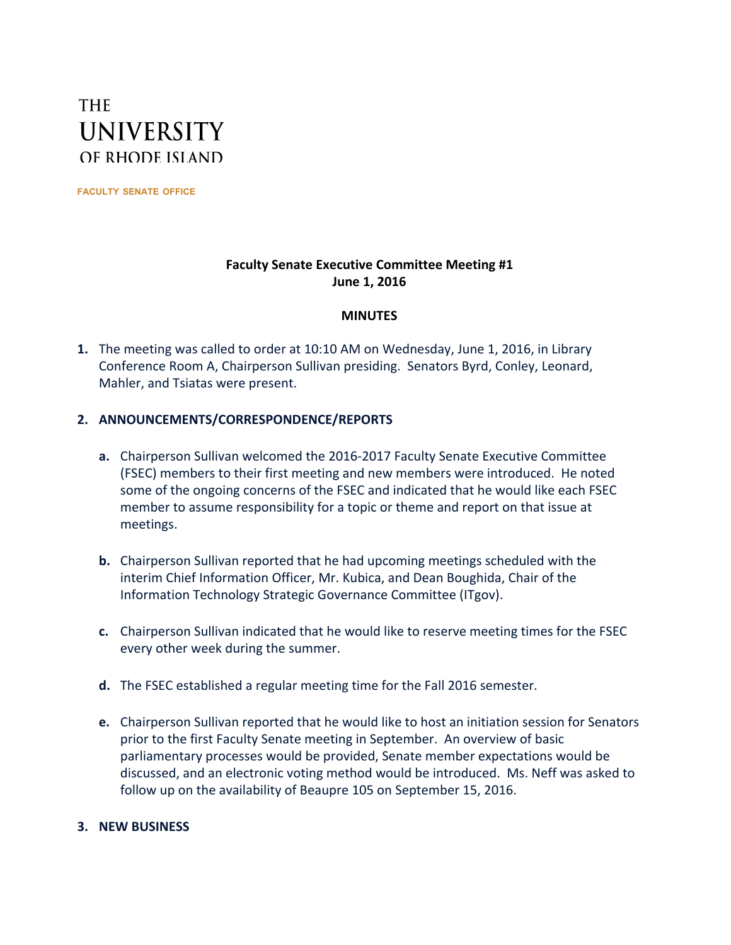# **THE UNIVERSITY** OF RHODE ISLAND

**FACULTY SENATE OFFICE**

## **Faculty Senate Executive Committee Meeting #1 June 1, 2016**

### **MINUTES**

**1.** The meeting was called to order at 10:10 AM on Wednesday, June 1, 2016, in Library Conference Room A, Chairperson Sullivan presiding. Senators Byrd, Conley, Leonard, Mahler, and Tsiatas were present.

### **2. ANNOUNCEMENTS/CORRESPONDENCE/REPORTS**

- **a.** Chairperson Sullivan welcomed the 2016-2017 Faculty Senate Executive Committee (FSEC) members to their first meeting and new members were introduced. He noted some of the ongoing concerns of the FSEC and indicated that he would like each FSEC member to assume responsibility for a topic or theme and report on that issue at meetings.
- **b.** Chairperson Sullivan reported that he had upcoming meetings scheduled with the interim Chief Information Officer, Mr. Kubica, and Dean Boughida, Chair of the Information Technology Strategic Governance Committee (ITgov).
- **c.** Chairperson Sullivan indicated that he would like to reserve meeting times for the FSEC every other week during the summer.
- **d.** The FSEC established a regular meeting time for the Fall 2016 semester.
- **e.** Chairperson Sullivan reported that he would like to host an initiation session for Senators prior to the first Faculty Senate meeting in September. An overview of basic parliamentary processes would be provided, Senate member expectations would be discussed, and an electronic voting method would be introduced. Ms. Neff was asked to follow up on the availability of Beaupre 105 on September 15, 2016.

### **3. NEW BUSINESS**